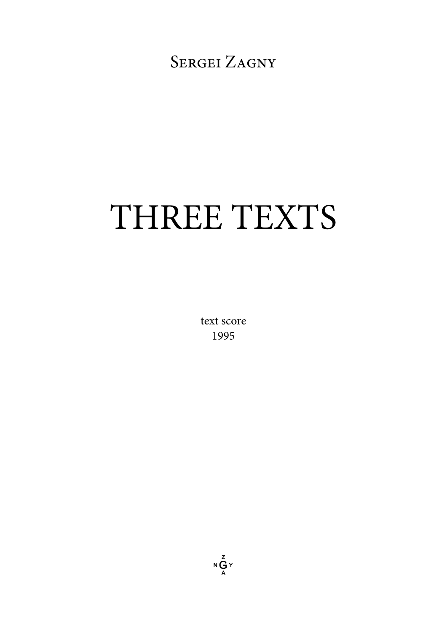SERGEI ZAGNY

# THREE TEXTS

text score 1995

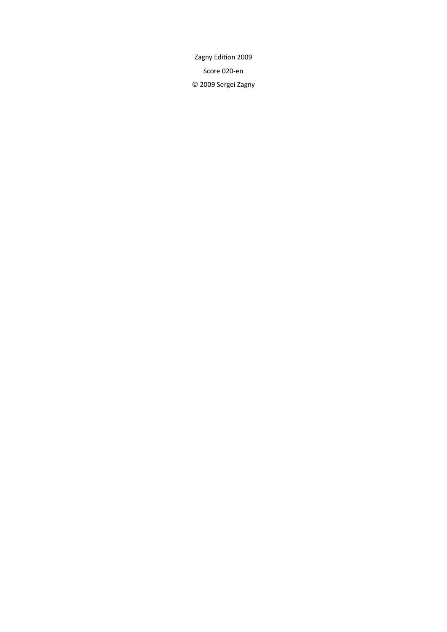Zagny Edition 2009 Score 020-en © 2009 Sergei Zagny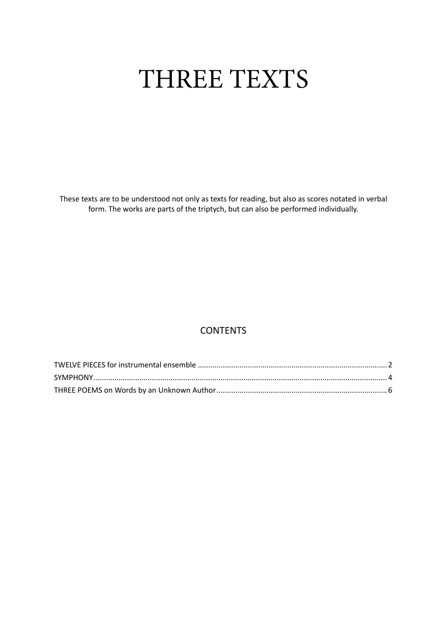# THREE TEXTS

These texts are to be understood not only as texts for reading, but also as scores notated in verbal form. The works are parts of the triptych, but can also be performed individually.

# **CONTENTS**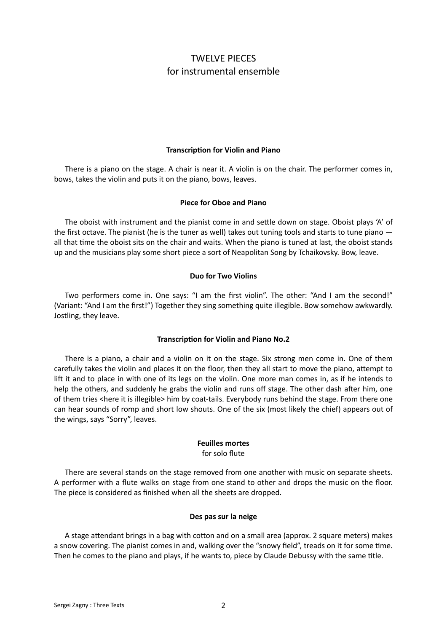## TWELVE PIECES for instrumental ensemble

#### **Transcription for Violin and Piano**

<span id="page-3-0"></span>There is a piano on the stage. A chair is near it. A violin is on the chair. The performer comes in, bows, takes the violin and puts it on the piano, bows, leaves.

#### **Piece for Oboe and Piano**

The oboist with instrument and the pianist come in and settle down on stage. Oboist plays 'A' of the first octave. The pianist (he is the tuner as well) takes out tuning tools and starts to tune piano all that time the oboist sits on the chair and waits. When the piano is tuned at last, the oboist stands up and the musicians play some short piece a sort of Neapolitan Song by Tchaikovsky. Bow, leave.

#### **Duo for Two Violins**

Two performers come in. One says: "I am the first violin". The other: "And I am the second!" (Variant: "And I am the first!") Together they sing something quite illegible. Bow somehow awkwardly. Jostling, they leave.

#### **Transcription for Violin and Piano No.2**

There is a piano, a chair and a violin on it on the stage. Six strong men come in. One of them carefully takes the violin and places it on the floor, then they all start to move the piano, attempt to lift it and to place in with one of its legs on the violin. One more man comes in, as if he intends to help the others, and suddenly he grabs the violin and runs off stage. The other dash after him, one of them tries <here it is illegible> him by coat-tails. Everybody runs behind the stage. From there one can hear sounds of romp and short low shouts. One of the six (most likely the chief) appears out of the wings, says "Sorry", leaves.

# **Feuilles mortes**

for solo flute

There are several stands on the stage removed from one another with music on separate sheets. A performer with a flute walks on stage from one stand to other and drops the music on the floor. The piece is considered as finished when all the sheets are dropped.

#### **Des pas sur la neige**

A stage attendant brings in a bag with cotton and on a small area (approx. 2 square meters) makes a snow covering. The pianist comes in and, walking over the "snowy field", treads on it for some time. Then he comes to the piano and plays, if he wants to, piece by Claude Debussy with the same title.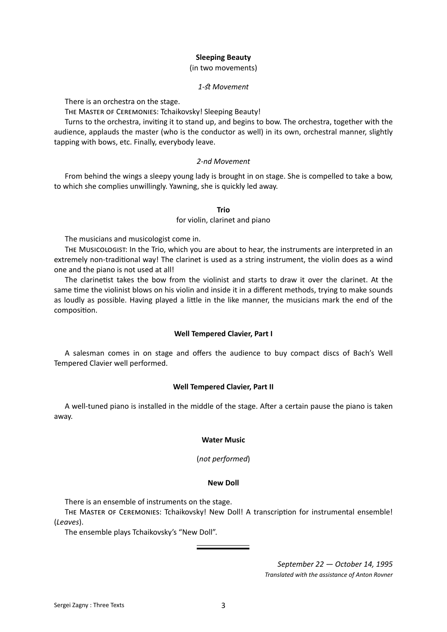#### **Sleeping Beauty**

(in two movements)

#### *1-st Movement*

There is an orchestra on the stage.

The Master of Ceremonies: Tchaikovsky! Sleeping Beauty!

Turns to the orchestra, inviting it to stand up, and begins to bow. The orchestra, together with the audience, applauds the master (who is the conductor as well) in its own, orchestral manner, slightly tapping with bows, etc. Finally, everybody leave.

#### *2-nd Movement*

From behind the wings a sleepy young lady is brought in on stage. She is compelled to take a bow, to which she complies unwillingly. Yawning, she is quickly led away.

#### **Trio**

#### for violin, clarinet and piano

The musicians and musicologist come in.

The Musicologist: In the Trio, which you are about to hear, the instruments are interpreted in an extremely non-traditional way! The clarinet is used as a string instrument, the violin does as a wind one and the piano is not used at all!

The clarinetist takes the bow from the violinist and starts to draw it over the clarinet. At the same time the violinist blows on his violin and inside it in a different methods, trying to make sounds as loudly as possible. Having played a little in the like manner, the musicians mark the end of the composition.

#### **Well Tempered Clavier, Part I**

A salesman comes in on stage and offers the audience to buy compact discs of Bach's Well Tempered Clavier well performed.

#### **Well Tempered Clavier, Part II**

A well-tuned piano is installed in the middle of the stage. After a certain pause the piano is taken away.

#### **Water Music**

(*not performed*)

#### **New Doll**

There is an ensemble of instruments on the stage.

The Master of Ceremonies: Tchaikovsky! New Doll! A transcription for instrumental ensemble! (*Leaves*).

The ensemble plays Tchaikovsky's "New Doll".

*September 22 — October 14, 1995 Translated with the assistance of Anton Rovner*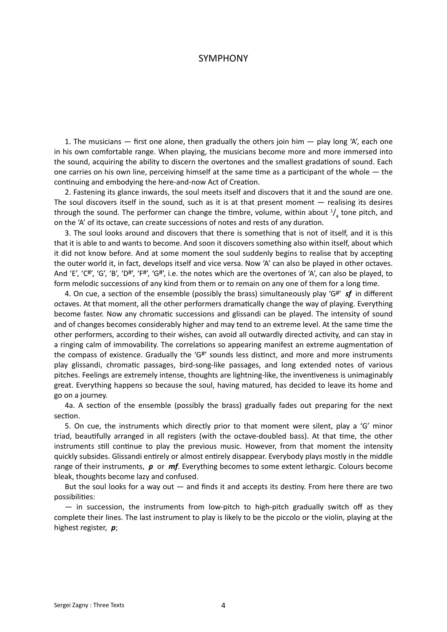#### SYMPHONY

<span id="page-5-0"></span>1. The musicians  $-$  first one alone, then gradually the others join him  $-$  play long 'A', each one in his own comfortable range. When playing, the musicians become more and more immersed into the sound, acquiring the ability to discern the overtones and the smallest gradations of sound. Each one carries on his own line, perceiving himself at the same time as a participant of the whole — the continuing and embodying the here-and-now Act of Creation.

2. Fastening its glance inwards, the soul meets itself and discovers that it and the sound are one. The soul discovers itself in the sound, such as it is at that present moment — realising its desires through the sound. The performer can change the timbre, volume, within about  $\frac{1}{4}$  tone pitch, and on the 'A' of its octave, can create successions of notes and rests of any duration.

3. The soul looks around and discovers that there is something that is not of itself, and it is this that it is able to and wants to become. And soon it discovers something also within itself, about which it did not know before. And at some moment the soul suddenly begins to realise that by accepting the outer world it, in fact, develops itself and vice versa. Now 'A' can also be played in other octaves. And 'E', 'C#', 'G', 'B', 'D#', 'F#', 'G#', i.e. the notes which are the overtones of 'A', can also be played, to form melodic successions of any kind from them or to remain on any one of them for a long time.

4. On cue, a section of the ensemble (possibly the brass) simultaneously play 'G#' *sf* in different octaves. At that moment, all the other performers dramatically change the way of playing. Everything become faster. Now any chromatic successions and glissandi can be played. The intensity of sound and of changes becomes considerably higher and may tend to an extreme level. At the same time the other performers, according to their wishes, can avoid all outwardly directed activity, and can stay in a ringing calm of immovability. The correlations so appearing manifest an extreme augmentation of the compass of existence. Gradually the 'G#' sounds less distinct, and more and more instruments play glissandi, chromatic passages, bird-song-like passages, and long extended notes of various pitches. Feelings are extremely intense, thoughts are lightning-like, the inventiveness is unimaginably great. Everything happens so because the soul, having matured, has decided to leave its home and go on a journey.

4a. A section of the ensemble (possibly the brass) gradually fades out preparing for the next section.

5. On cue, the instruments which directly prior to that moment were silent, play a 'G' minor triad, beautifully arranged in all registers (with the octave-doubled bass). At that time, the other instruments still continue to play the previous music. However, from that moment the intensity quickly subsides. Glissandi entirely or almost entirely disappear. Everybody plays mostly in the middle range of their instruments, *p* or *mf*. Everything becomes to some extent lethargic. Colours become bleak, thoughts become lazy and confused.

But the soul looks for a way out — and finds it and accepts its destiny. From here there are two possibilities:

— in succession, the instruments from low-pitch to high-pitch gradually switch off as they complete their lines. The last instrument to play is likely to be the piccolo or the violin, playing at the highest register, *p*;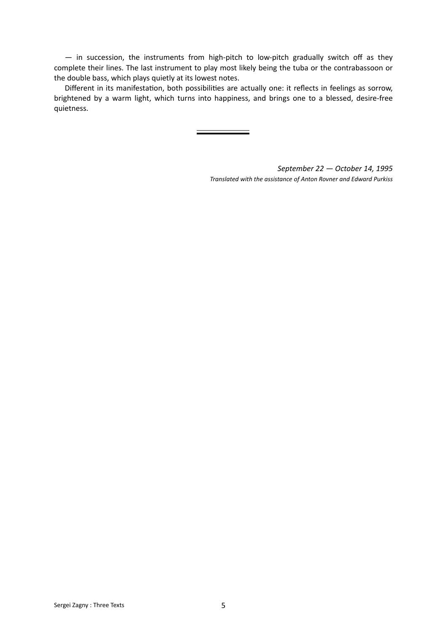— in succession, the instruments from high-pitch to low-pitch gradually switch off as they complete their lines. The last instrument to play most likely being the tuba or the contrabassoon or the double bass, which plays quietly at its lowest notes.

Different in its manifestation, both possibilities are actually one: it reflects in feelings as sorrow, brightened by a warm light, which turns into happiness, and brings one to a blessed, desire-free quietness.

> *September 22 — October 14, 1995 Translated with the assistance of Anton Rovner and Edward Purkiss*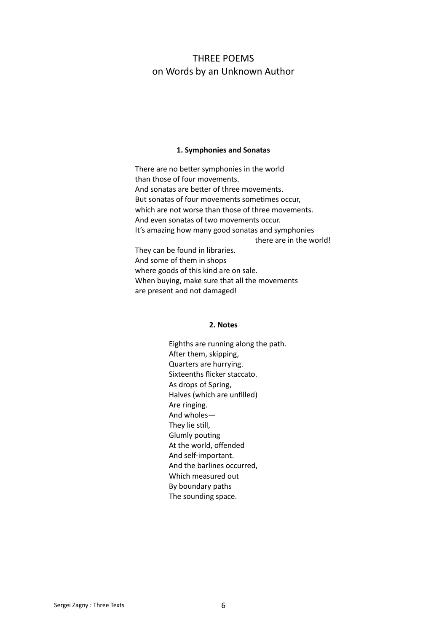## <span id="page-7-0"></span>THREE POEMS on Words by an Unknown Author

#### **1. Symphonies and Sonatas**

There are no better symphonies in the world than those of four movements. And sonatas are better of three movements. But sonatas of four movements sometimes occur, which are not worse than those of three movements. And even sonatas of two movements occur. It's amazing how many good sonatas and symphonies there are in the world! They can be found in libraries. And some of them in shops where goods of this kind are on sale. When buying, make sure that all the movements

are present and not damaged!

#### **2. Notes**

Eighths are running along the path. After them, skipping, Quarters are hurrying. Sixteenths flicker staccato. As drops of Spring, Halves (which are unfilled) Are ringing. And wholes— They lie still, Glumly pouting At the world, offended And self-important. And the barlines occurred, Which measured out By boundary paths The sounding space.